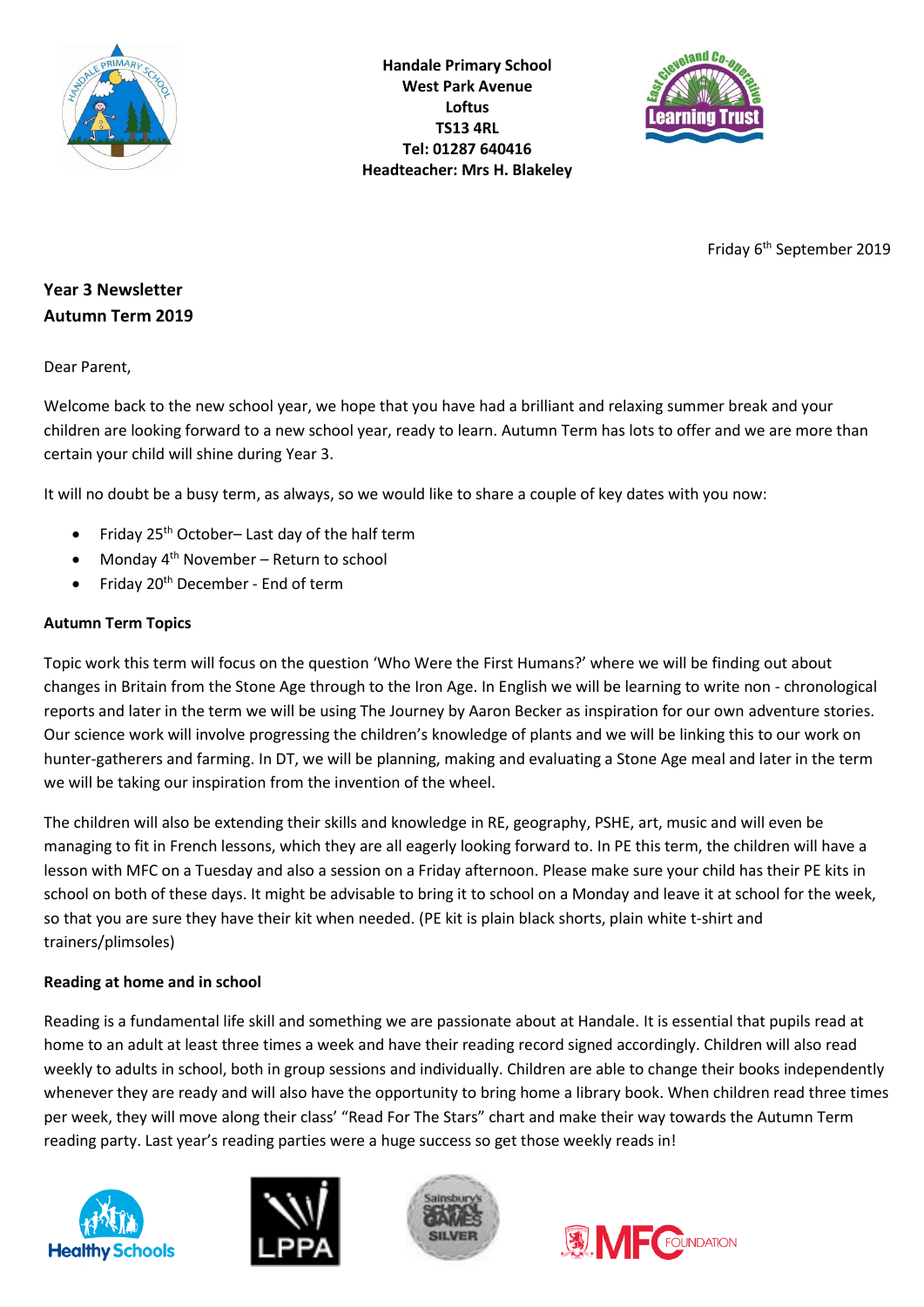

**Handale Primary School West Park Avenue Loftus TS13 4RL Tel: 01287 640416 Headteacher: Mrs H. Blakeley**



Friday 6<sup>th</sup> September 2019

# **Year 3 Newsletter Autumn Term 2019**

Dear Parent,

Welcome back to the new school year, we hope that you have had a brilliant and relaxing summer break and your children are looking forward to a new school year, ready to learn. Autumn Term has lots to offer and we are more than certain your child will shine during Year 3.

It will no doubt be a busy term, as always, so we would like to share a couple of key dates with you now:

- Friday  $25<sup>th</sup>$  October– Last day of the half term
- Monday 4th November Return to school
- Friday  $20<sup>th</sup>$  December End of term

## **Autumn Term Topics**

Topic work this term will focus on the question 'Who Were the First Humans?' where we will be finding out about changes in Britain from the Stone Age through to the Iron Age. In English we will be learning to write non - chronological reports and later in the term we will be using The Journey by Aaron Becker as inspiration for our own adventure stories. Our science work will involve progressing the children's knowledge of plants and we will be linking this to our work on hunter-gatherers and farming. In DT, we will be planning, making and evaluating a Stone Age meal and later in the term we will be taking our inspiration from the invention of the wheel.

The children will also be extending their skills and knowledge in RE, geography, PSHE, art, music and will even be managing to fit in French lessons, which they are all eagerly looking forward to. In PE this term, the children will have a lesson with MFC on a Tuesday and also a session on a Friday afternoon. Please make sure your child has their PE kits in school on both of these days. It might be advisable to bring it to school on a Monday and leave it at school for the week, so that you are sure they have their kit when needed. (PE kit is plain black shorts, plain white t-shirt and trainers/plimsoles)

## **Reading at home and in school**

Reading is a fundamental life skill and something we are passionate about at Handale. It is essential that pupils read at home to an adult at least three times a week and have their reading record signed accordingly. Children will also read weekly to adults in school, both in group sessions and individually. Children are able to change their books independently whenever they are ready and will also have the opportunity to bring home a library book. When children read three times per week, they will move along their class' "Read For The Stars" chart and make their way towards the Autumn Term reading party. Last year's reading parties were a huge success so get those weekly reads in!